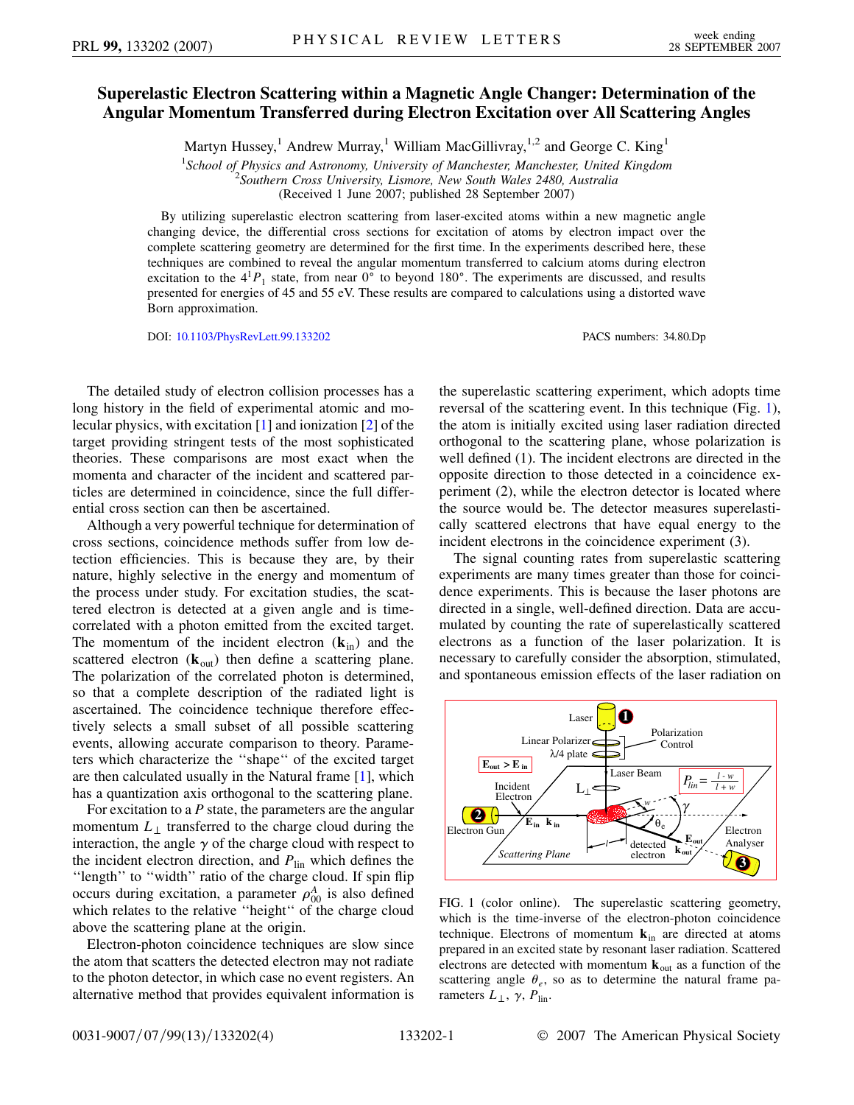## **Superelastic Electron Scattering within a Magnetic Angle Changer: Determination of the Angular Momentum Transferred during Electron Excitation over All Scattering Angles**

Martyn Hussey,<sup>1</sup> Andrew Murray,<sup>1</sup> William MacGillivray,<sup>1,2</sup> and George C. King<sup>1</sup>

<sup>1</sup> School of Physics and Astronomy, University of Manchester, Manchester, United Kingdom<br><sup>2</sup> Southern Cross University Lismore, New South Wales 2480, Australia

*Southern Cross University, Lismore, New South Wales 2480, Australia*

(Received 1 June 2007; published 28 September 2007)

By utilizing superelastic electron scattering from laser-excited atoms within a new magnetic angle changing device, the differential cross sections for excitation of atoms by electron impact over the complete scattering geometry are determined for the first time. In the experiments described here, these techniques are combined to reveal the angular momentum transferred to calcium atoms during electron excitation to the  $4^1P_1$  state, from near 0° to beyond 180°. The experiments are discussed, and results presented for energies of 45 and 55 eV. These results are compared to calculations using a distorted wave Born approximation.

DOI: [10.1103/PhysRevLett.99.133202](http://dx.doi.org/10.1103/PhysRevLett.99.133202) PACS numbers: 34.80.Dp

The detailed study of electron collision processes has a long history in the field of experimental atomic and molecular physics, with excitation [[1\]](#page-3-0) and ionization [\[2\]](#page-3-1) of the target providing stringent tests of the most sophisticated theories. These comparisons are most exact when the momenta and character of the incident and scattered particles are determined in coincidence, since the full differential cross section can then be ascertained.

Although a very powerful technique for determination of cross sections, coincidence methods suffer from low detection efficiencies. This is because they are, by their nature, highly selective in the energy and momentum of the process under study. For excitation studies, the scattered electron is detected at a given angle and is timecorrelated with a photon emitted from the excited target. The momentum of the incident electron  $(\mathbf{k}_{in})$  and the scattered electron  $(\mathbf{k}_{out})$  then define a scattering plane. The polarization of the correlated photon is determined, so that a complete description of the radiated light is ascertained. The coincidence technique therefore effectively selects a small subset of all possible scattering events, allowing accurate comparison to theory. Parameters which characterize the ''shape'' of the excited target are then calculated usually in the Natural frame [\[1\]](#page-3-0), which has a quantization axis orthogonal to the scattering plane.

For excitation to a *P* state, the parameters are the angular momentum  $L_{\perp}$  transferred to the charge cloud during the interaction, the angle  $\gamma$  of the charge cloud with respect to the incident electron direction, and  $P_{lin}$  which defines the "length" to "width" ratio of the charge cloud. If spin flip occurs during excitation, a parameter  $\rho_{00}^A$  is also defined which relates to the relative "height" of the charge cloud above the scattering plane at the origin.

Electron-photon coincidence techniques are slow since the atom that scatters the detected electron may not radiate to the photon detector, in which case no event registers. An alternative method that provides equivalent information is the superelastic scattering experiment, which adopts time reversal of the scattering event. In this technique (Fig. [1\)](#page-0-0), the atom is initially excited using laser radiation directed orthogonal to the scattering plane, whose polarization is well defined (1). The incident electrons are directed in the opposite direction to those detected in a coincidence experiment (2), while the electron detector is located where the source would be. The detector measures superelastically scattered electrons that have equal energy to the incident electrons in the coincidence experiment (3).

The signal counting rates from superelastic scattering experiments are many times greater than those for coincidence experiments. This is because the laser photons are directed in a single, well-defined direction. Data are accumulated by counting the rate of superelastically scattered electrons as a function of the laser polarization. It is necessary to carefully consider the absorption, stimulated, and spontaneous emission effects of the laser radiation on

<span id="page-0-0"></span>

FIG. 1 (color online). The superelastic scattering geometry, which is the time-inverse of the electron-photon coincidence technique. Electrons of momentum **k**in are directed at atoms prepared in an excited state by resonant laser radiation. Scattered electrons are detected with momentum **k**out as a function of the scattering angle  $\theta_e$ , so as to determine the natural frame parameters  $L_{\perp}$ ,  $\gamma$ ,  $P_{\text{lin}}$ .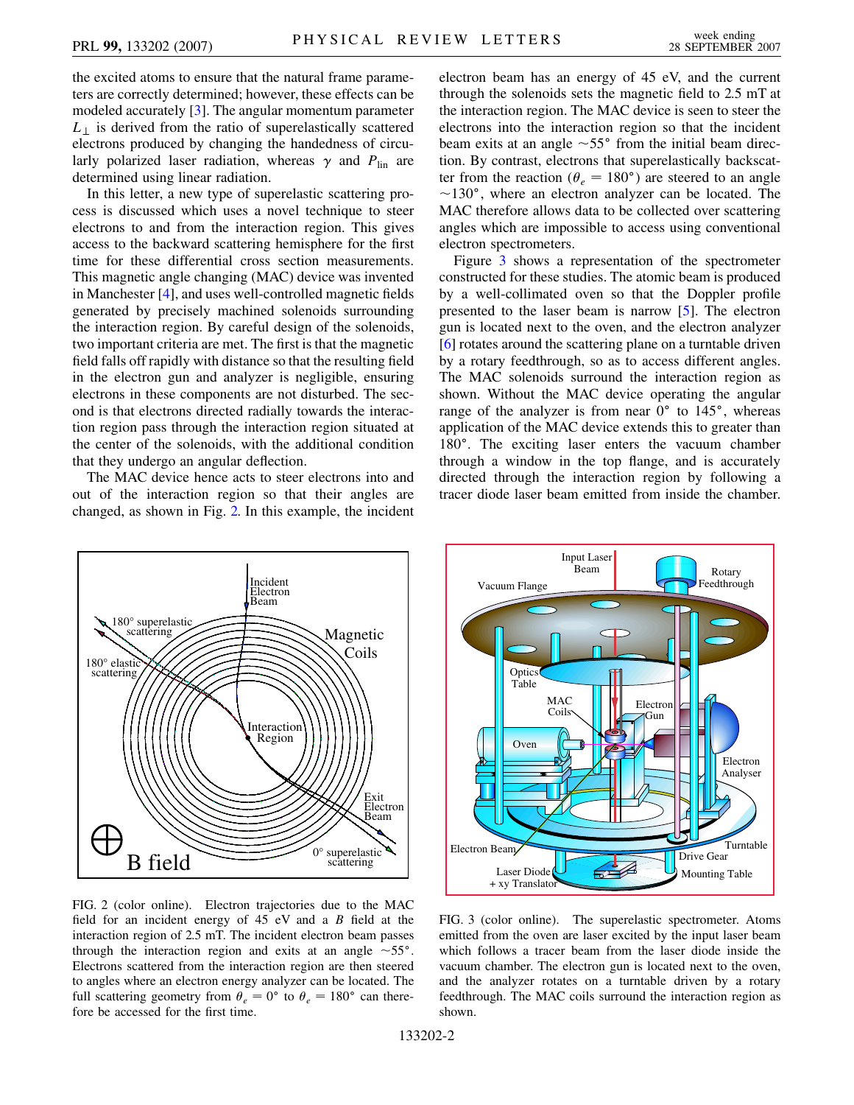the excited atoms to ensure that the natural frame parameters are correctly determined; however, these effects can be modeled accurately [\[3](#page-3-2)]. The angular momentum parameter  $L_{\perp}$  is derived from the ratio of superelastically scattered electrons produced by changing the handedness of circularly polarized laser radiation, whereas  $\gamma$  and  $P_{lin}$  are determined using linear radiation.

In this letter, a new type of superelastic scattering process is discussed which uses a novel technique to steer electrons to and from the interaction region. This gives access to the backward scattering hemisphere for the first time for these differential cross section measurements. This magnetic angle changing (MAC) device was invented in Manchester [[4\]](#page-3-3), and uses well-controlled magnetic fields generated by precisely machined solenoids surrounding the interaction region. By careful design of the solenoids, two important criteria are met. The first is that the magnetic field falls off rapidly with distance so that the resulting field in the electron gun and analyzer is negligible, ensuring electrons in these components are not disturbed. The second is that electrons directed radially towards the interaction region pass through the interaction region situated at the center of the solenoids, with the additional condition that they undergo an angular deflection.

The MAC device hence acts to steer electrons into and out of the interaction region so that their angles are changed, as shown in Fig. [2.](#page-1-0) In this example, the incident electron beam has an energy of 45 eV, and the current through the solenoids sets the magnetic field to 2.5 mT at the interaction region. The MAC device is seen to steer the electrons into the interaction region so that the incident beam exits at an angle  $\sim 55^{\circ}$  from the initial beam direction. By contrast, electrons that superelastically backscatter from the reaction ( $\theta_e = 180^\circ$ ) are steered to an angle  $\sim$ 130°, where an electron analyzer can be located. The MAC therefore allows data to be collected over scattering angles which are impossible to access using conventional electron spectrometers.

Figure [3](#page-1-1) shows a representation of the spectrometer constructed for these studies. The atomic beam is produced by a well-collimated oven so that the Doppler profile presented to the laser beam is narrow [[5\]](#page-3-4). The electron gun is located next to the oven, and the electron analyzer [\[6\]](#page-3-5) rotates around the scattering plane on a turntable driven by a rotary feedthrough, so as to access different angles. The MAC solenoids surround the interaction region as shown. Without the MAC device operating the angular range of the analyzer is from near  $0^{\circ}$  to  $145^{\circ}$ , whereas application of the MAC device extends this to greater than 180°. The exciting laser enters the vacuum chamber through a window in the top flange, and is accurately directed through the interaction region by following a tracer diode laser beam emitted from inside the chamber.

<span id="page-1-0"></span>

FIG. 2 (color online). Electron trajectories due to the MAC field for an incident energy of 45 eV and a *B* field at the interaction region of 2.5 mT. The incident electron beam passes through the interaction region and exits at an angle  $\sim 55^{\circ}$ . Electrons scattered from the interaction region are then steered to angles where an electron energy analyzer can be located. The full scattering geometry from  $\theta_e = 0^\circ$  to  $\theta_e = 180^\circ$  can therefore be accessed for the first time.

<span id="page-1-1"></span>

FIG. 3 (color online). The superelastic spectrometer. Atoms emitted from the oven are laser excited by the input laser beam which follows a tracer beam from the laser diode inside the vacuum chamber. The electron gun is located next to the oven, and the analyzer rotates on a turntable driven by a rotary feedthrough. The MAC coils surround the interaction region as shown.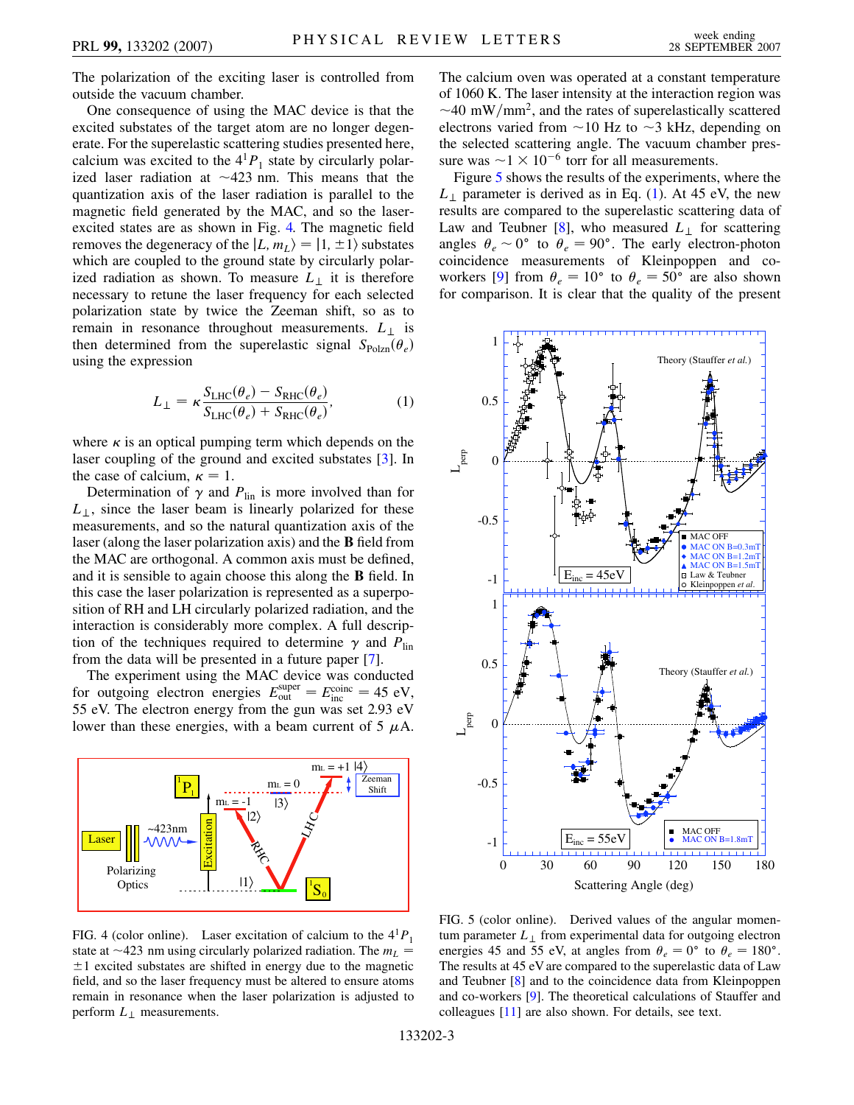The polarization of the exciting laser is controlled from outside the vacuum chamber.

One consequence of using the MAC device is that the excited substates of the target atom are no longer degenerate. For the superelastic scattering studies presented here, calcium was excited to the  $4<sup>1</sup>P<sub>1</sub>$  state by circularly polarized laser radiation at  $\sim$  423 nm. This means that the quantization axis of the laser radiation is parallel to the magnetic field generated by the MAC, and so the laserexcited states are as shown in Fig. [4.](#page-2-0) The magnetic field removes the degeneracy of the  $|L, m_L\rangle = |1, \pm 1\rangle$  substates which are coupled to the ground state by circularly polarized radiation as shown. To measure  $L_{\perp}$  it is therefore necessary to retune the laser frequency for each selected polarization state by twice the Zeeman shift, so as to remain in resonance throughout measurements.  $L_{\perp}$  is then determined from the superelastic signal  $S_{\text{Polzn}}(\theta_e)$ using the expression

$$
L_{\perp} = \kappa \frac{S_{\text{LHC}}(\theta_e) - S_{\text{RHC}}(\theta_e)}{S_{\text{LHC}}(\theta_e) + S_{\text{RHC}}(\theta_e)},\tag{1}
$$

<span id="page-2-2"></span>where  $\kappa$  is an optical pumping term which depends on the laser coupling of the ground and excited substates [[3\]](#page-3-2). In the case of calcium,  $\kappa = 1$ .

Determination of  $\gamma$  and  $P_{lin}$  is more involved than for  $L_{\perp}$ , since the laser beam is linearly polarized for these measurements, and so the natural quantization axis of the laser (along the laser polarization axis) and the **B** field from the MAC are orthogonal. A common axis must be defined, and it is sensible to again choose this along the **B** field. In this case the laser polarization is represented as a superposition of RH and LH circularly polarized radiation, and the interaction is considerably more complex. A full description of the techniques required to determine  $\gamma$  and  $P_{lin}$ from the data will be presented in a future paper [[7](#page-3-6)].

The experiment using the MAC device was conducted for outgoing electron energies  $E_{\text{out}}^{\text{super}} = E_{\text{inc}}^{\text{coinc}} = 45 \text{ eV}$ , 55 eV. The electron energy from the gun was set 2.93 eV lower than these energies, with a beam current of 5  $\mu$ A.

<span id="page-2-0"></span>

FIG. 4 (color online). Laser excitation of calcium to the  $4<sup>1</sup>P<sub>1</sub>$ state at  $\sim$ 423 nm using circularly polarized radiation. The  $m_L$  =  $\pm 1$  excited substates are shifted in energy due to the magnetic field, and so the laser frequency must be altered to ensure atoms remain in resonance when the laser polarization is adjusted to perform  $L_{\perp}$  measurements.

The calcium oven was operated at a constant temperature of 1060 K. The laser intensity at the interaction region was  $\sim$ 40 mW/mm<sup>2</sup>, and the rates of superelastically scattered electrons varied from  $\sim$  10 Hz to  $\sim$  3 kHz, depending on the selected scattering angle. The vacuum chamber pressure was  $\sim$ 1  $\times$  10<sup>-6</sup> torr for all measurements.

Figure [5](#page-2-1) shows the results of the experiments, where the  $L_{\perp}$  parameter is derived as in Eq. [\(1](#page-2-2)). At 45 eV, the new results are compared to the superelastic scattering data of Law and Teubner  $[8]$  $[8]$ , who measured  $L_{\perp}$  for scattering angles  $\theta_e \sim 0^{\circ}$  to  $\theta_e = 90^{\circ}$ . The early electron-photon coincidence measurements of Kleinpoppen and co-workers [\[9\]](#page-3-8) from  $\theta_e = 10^{\circ}$  to  $\theta_e = 50^{\circ}$  are also shown for comparison. It is clear that the quality of the present

<span id="page-2-1"></span>

FIG. 5 (color online). Derived values of the angular momentum parameter  $L_{\perp}$  from experimental data for outgoing electron energies 45 and 55 eV, at angles from  $\theta_e = 0^\circ$  to  $\theta_e = 180^\circ$ . The results at 45 eV are compared to the superelastic data of Law and Teubner [\[8\]](#page-3-7) and to the coincidence data from Kleinpoppen and co-workers [\[9\]](#page-3-8). The theoretical calculations of Stauffer and colleagues [\[11\]](#page-3-9) are also shown. For details, see text.